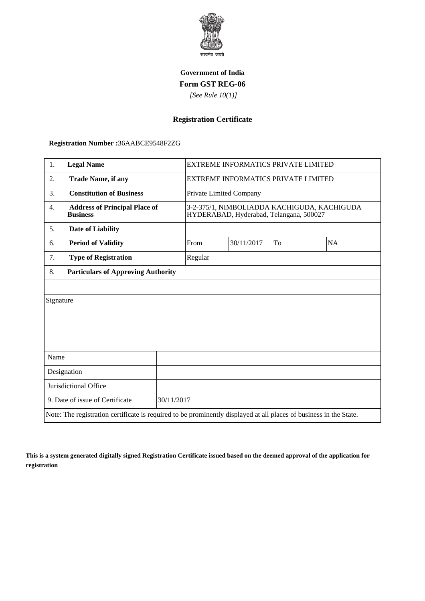

## **Government of India Form GST REG-06**

 *[See Rule 10(1)]*

## **Registration Certificate**

 **Registration Number :**36AABCE9548F2ZG

| 1.                                                                                                                 | <b>Legal Name</b>                                       |            | <b>EXTREME INFORMATICS PRIVATE LIMITED</b>                                             |    |           |  |  |
|--------------------------------------------------------------------------------------------------------------------|---------------------------------------------------------|------------|----------------------------------------------------------------------------------------|----|-----------|--|--|
| 2.                                                                                                                 | <b>Trade Name, if any</b>                               |            | <b>EXTREME INFORMATICS PRIVATE LIMITED</b>                                             |    |           |  |  |
| 3.                                                                                                                 | <b>Constitution of Business</b>                         |            | Private Limited Company                                                                |    |           |  |  |
| $\overline{4}$ .                                                                                                   | <b>Address of Principal Place of</b><br><b>Business</b> |            | 3-2-375/1, NIMBOLIADDA KACHIGUDA, KACHIGUDA<br>HYDERABAD, Hyderabad, Telangana, 500027 |    |           |  |  |
| 5.                                                                                                                 | <b>Date of Liability</b>                                |            |                                                                                        |    |           |  |  |
| 6.                                                                                                                 | <b>Period of Validity</b>                               | From       | 30/11/2017                                                                             | To | <b>NA</b> |  |  |
| 7.                                                                                                                 | <b>Type of Registration</b>                             | Regular    |                                                                                        |    |           |  |  |
| 8.                                                                                                                 | <b>Particulars of Approving Authority</b>               |            |                                                                                        |    |           |  |  |
|                                                                                                                    |                                                         |            |                                                                                        |    |           |  |  |
| Signature                                                                                                          |                                                         |            |                                                                                        |    |           |  |  |
|                                                                                                                    |                                                         |            |                                                                                        |    |           |  |  |
|                                                                                                                    |                                                         |            |                                                                                        |    |           |  |  |
|                                                                                                                    |                                                         |            |                                                                                        |    |           |  |  |
| Name                                                                                                               |                                                         |            |                                                                                        |    |           |  |  |
| Designation                                                                                                        |                                                         |            |                                                                                        |    |           |  |  |
| Jurisdictional Office                                                                                              |                                                         |            |                                                                                        |    |           |  |  |
| 9. Date of issue of Certificate                                                                                    |                                                         | 30/11/2017 |                                                                                        |    |           |  |  |
| Note: The registration certificate is required to be prominently displayed at all places of business in the State. |                                                         |            |                                                                                        |    |           |  |  |

**This is a system generated digitally signed Registration Certificate issued based on the deemed approval of the application for registration**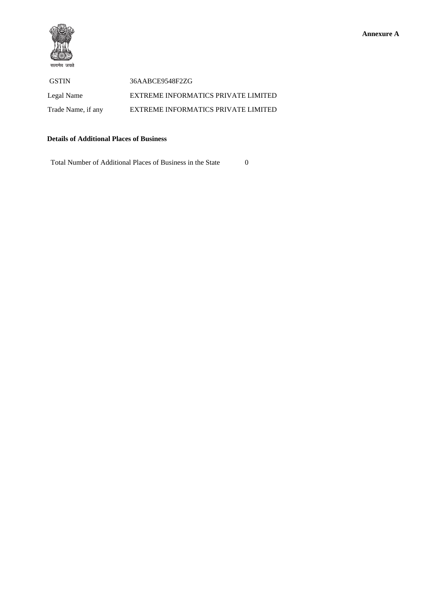

 GSTIN 36AABCE9548F2ZG Legal Name EXTREME INFORMATICS PRIVATE LIMITED Trade Name, if any EXTREME INFORMATICS PRIVATE LIMITED

## **Details of Additional Places of Business**

Total Number of Additional Places of Business in the State 0